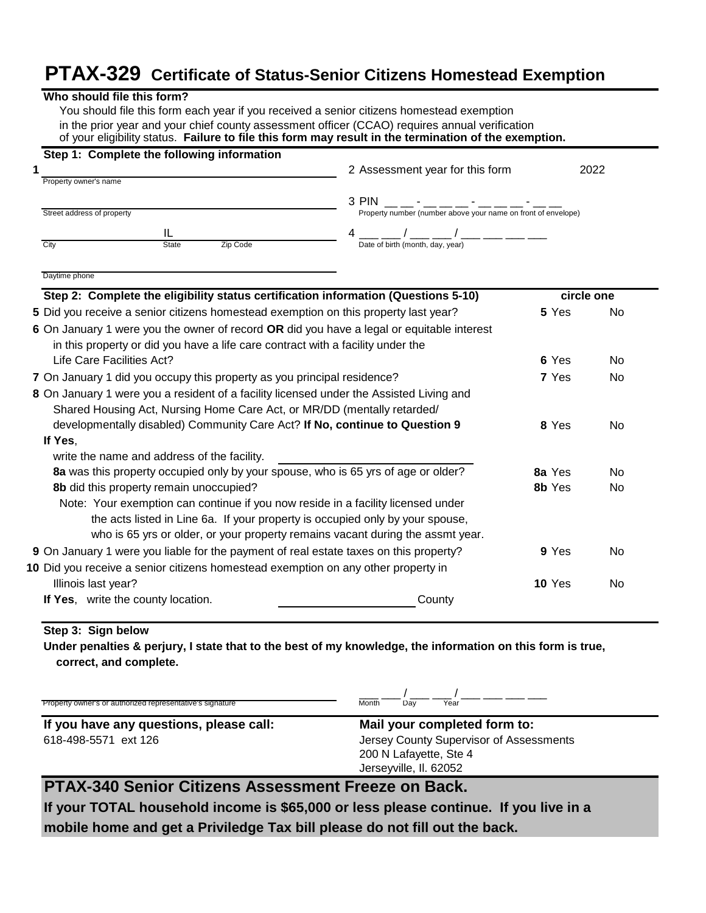## **PTAX-329 Certificate of Status-Senior Citizens Homestead Exemption**

| Step 1: Complete the following information                                                |                                                               |                  |            |  |
|-------------------------------------------------------------------------------------------|---------------------------------------------------------------|------------------|------------|--|
|                                                                                           | 2 Assessment year for this form                               | 2022             |            |  |
| Property owner's name                                                                     |                                                               |                  |            |  |
| Street address of property                                                                | 3 PIN                                                         |                  |            |  |
|                                                                                           |                                                               |                  |            |  |
| IL<br>Zip Code<br>City<br><b>State</b>                                                    | __ ___ / ____ ___ ___ ___<br>Date of birth (month, day, year) |                  |            |  |
|                                                                                           |                                                               |                  |            |  |
| Daytime phone                                                                             |                                                               |                  |            |  |
| Step 2: Complete the eligibility status certification information (Questions 5-10)        |                                                               |                  | circle one |  |
| 5 Did you receive a senior citizens homestead exemption on this property last year?       |                                                               | 5 Yes            | No         |  |
| 6 On January 1 were you the owner of record OR did you have a legal or equitable interest |                                                               |                  |            |  |
| in this property or did you have a life care contract with a facility under the           |                                                               |                  |            |  |
| Life Care Facilities Act?                                                                 |                                                               | 6 Yes            | No         |  |
| 7 On January 1 did you occupy this property as you principal residence?                   |                                                               | 7 Yes            | <b>No</b>  |  |
| 8 On January 1 were you a resident of a facility licensed under the Assisted Living and   |                                                               |                  |            |  |
| Shared Housing Act, Nursing Home Care Act, or MR/DD (mentally retarded/                   |                                                               |                  |            |  |
| developmentally disabled) Community Care Act? If No, continue to Question 9               |                                                               | 8 Yes            | No         |  |
| If Yes,                                                                                   |                                                               |                  |            |  |
| write the name and address of the facility.                                               |                                                               |                  |            |  |
| 8a was this property occupied only by your spouse, who is 65 yrs of age or older?         |                                                               | 8a Yes<br>8b Yes | No         |  |
| 8b did this property remain unoccupied?                                                   |                                                               |                  | No         |  |
| Note: Your exemption can continue if you now reside in a facility licensed under          |                                                               |                  |            |  |
| the acts listed in Line 6a. If your property is occupied only by your spouse,             |                                                               |                  |            |  |
| who is 65 yrs or older, or your property remains vacant during the assmt year.            |                                                               |                  |            |  |
| 9 On January 1 were you liable for the payment of real estate taxes on this property?     |                                                               | 9 Yes            | No         |  |
| 10 Did you receive a senior citizens homestead exemption on any other property in         |                                                               |                  |            |  |
| Illinois last year?                                                                       |                                                               | <b>10 Yes</b>    | No         |  |
| If Yes, write the county location.                                                        | County                                                        |                  |            |  |

### **Step 3: Sign below**

**Under penalties & perjury, I state that to the best of my knowledge, the information on this form is true, correct, and complete.**

Property owner's or authorized representative's signature

 $\frac{1}{\text{Month}} - \frac{1}{\text{Day}} - \frac{1}{\text{Year}}$ 

**If you have any questions, please call: Mail your completed form to:** 618-498-5571 ext 126 Jersey County Supervisor of Assessments

200 N Lafayette, Ste 4 Jerseyville, Il. 62052

## **PTAX-340 Senior Citizens Assessment Freeze on Back.**

**If your TOTAL household income is \$65,000 or less please continue. If you live in a mobile home and get a Priviledge Tax bill please do not fill out the back.**